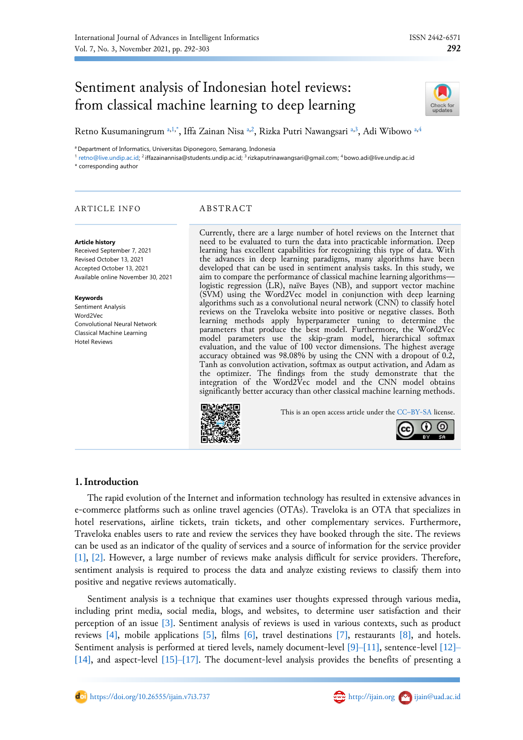# Sentiment analysis of Indonesian hotel reviews: from classical machine learning to deep learning



Retno Kusum[a](#page-0-0)ningrum a[,1,](#page-0-1)[\\*](#page-0-2), Iffa Zainan Nisa [a,](#page-0-0)[2](#page-0-3), Rizka Putri Nawangsari a[,3](#page-0-4), Adi Wibowo a,[4](#page-0-4)

<span id="page-0-0"></span><sup>a</sup> Department of Informatics, Universitas Diponegoro, Semarang, Indonesia

<span id="page-0-1"></span><sup>1</sup> [retno@live.undip.ac.id;](mailto:retno@live.undip.ac.id) <sup>2</sup> iffazainannisa@students.undip.ac.id; <sup>3</sup> rizkaputrinawangsari@gmail.com; <sup>4</sup> bowo.adi@live.undip.ac.id

<span id="page-0-3"></span><span id="page-0-2"></span>\* corresponding author

# ARTICLE INFO ABSTRACT

#### **Article history**

Received September 7, 2021 Revised October 13, 2021 Accepted October 13, 2021 Available online November 30, 2021

#### **Keywords**

Sentiment Analysis Word2Vec Convolutional Neural Network Classical Machine Learning Hotel Reviews

<span id="page-0-4"></span>Currently, there are a large number of hotel reviews on the Internet that need to be evaluated to turn the data into practicable information. Deep learning has excellent capabilities for recognizing this type of data. With the advances in deep learning paradigms, many algorithms have been developed that can be used in sentiment analysis tasks. In this study, we aim to compare the performance of classical machine learning algorithms logistic regression (LR), naïve Bayes (NB), and support vector machine (SVM) using the Word2Vec model in conjunction with deep learning algorithms such as a convolutional neural network (CNN) to classify hotel reviews on the Traveloka website into positive or negative classes. Both learning methods apply hyperparameter tuning to determine the parameters that produce the best model. Furthermore, the Word2Vec model parameters use the skip-gram model, hierarchical softmax evaluation, and the value of 100 vector dimensions. The highest average accuracy obtained was 98.08% by using the CNN with a dropout of 0.2, Tanh as convolution activation, softmax as output activation, and Adam as the optimizer. The findings from the study demonstrate that the integration of the Word2Vec model and the CNN model obtains significantly better accuracy than other classical machine learning methods.



This is an open access article under the CC–[BY-SA](http://creativecommons.org/licenses/by-sa/4.0/) license.



# **1.Introduction**

The rapid evolution of the Internet and information technology has resulted in extensive advances in e-commerce platforms such as online travel agencies (OTAs). Traveloka is an OTA that specializes in hotel reservations, airline tickets, train tickets, and other complementary services. Furthermore, Traveloka enables users to rate and review the services they have booked through the site. The reviews can be used as an indicator of the quality of services and a source of information for the service provider [\[1\]](#page-9-0), [\[2\]](#page-9-1). However, a large number of reviews make analysis difficult for service providers. Therefore, sentiment analysis is required to process the data and analyze existing reviews to classify them into positive and negative reviews automatically.

Sentiment analysis is a technique that examines user thoughts expressed through various media, including print media, social media, blogs, and websites, to determine user satisfaction and their perception of an issue [\[3\]](#page-9-2). Sentiment analysis of reviews is used in various contexts, such as product reviews [\[4\]](#page-9-3), mobile applications [\[5\]](#page-9-4), films [\[6\]](#page-9-5), travel destinations [\[7\]](#page-9-6), restaurants [\[8\]](#page-9-7), and hotels. Sentiment analysis is performed at tiered levels, namely document-level [\[9\]](#page-9-8)[–](#page-9-9)[\[11\]](#page-9-10), sentence-level [\[12\]](#page-10-0)[–](#page-10-1) [\[14\]](#page-10-2), and aspect-level [\[15\]](#page-10-3)[–](#page-10-4)[\[17\]](#page-10-5). The document-level analysis provides the benefits of presenting a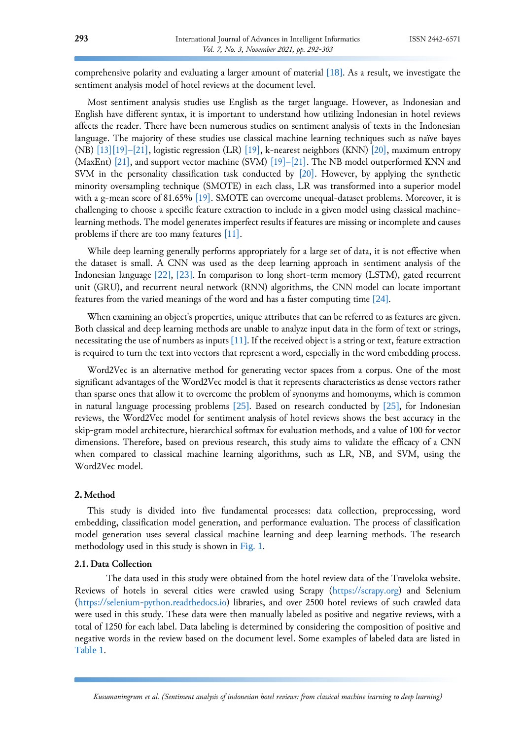comprehensive polarity and evaluating a larger amount of material [\[18\]](#page-10-6). As a result, we investigate the sentiment analysis model of hotel reviews at the document level.

Most sentiment analysis studies use English as the target language. However, as Indonesian and English have different syntax, it is important to understand how utilizing Indonesian in hotel reviews affects the reader. There have been numerous studies on sentiment analysis of texts in the Indonesian language. The majority of these studies use classical machine learning techniques such as naïve bayes (NB) [\[13\]](#page-10-1)[\[19\]](#page-10-7)[–](#page-10-8)[\[21\],](#page-10-9) logistic regression (LR) [\[19\],](#page-10-7) k-nearest neighbors (KNN) [\[20\],](#page-10-8) maximum entropy (MaxEnt) [\[21\],](#page-10-9) and support vector machine (SVM)  $[19]$ [–](#page-10-8)[\[21\].](#page-10-9) The NB model outperformed KNN and SVM in the personality classification task conducted by [\[20\].](#page-10-8) However, by applying the synthetic minority oversampling technique (SMOTE) in each class, LR was transformed into a superior model with a g-mean score of 81.65% [\[19\].](#page-10-7) SMOTE can overcome unequal-dataset problems. Moreover, it is challenging to choose a specific feature extraction to include in a given model using classical machinelearning methods. The model generates imperfect results if features are missing or incomplete and causes problems if there are too many features [\[11\].](#page-9-10)

While deep learning generally performs appropriately for a large set of data, it is not effective when the dataset is small. A CNN was used as the deep learning approach in sentiment analysis of the Indonesian language [\[22\]](#page-10-10), [\[23\]](#page-10-11). In comparison to long short-term memory (LSTM), gated recurrent unit (GRU), and recurrent neural network (RNN) algorithms, the CNN model can locate important features from the varied meanings of the word and has a faster computing time [\[24\]](#page-10-12).

When examining an object's properties, unique attributes that can be referred to as features are given. Both classical and deep learning methods are unable to analyze input data in the form of text or strings, necessitating the use of numbers as inputs [\[11\]](#page-9-10). If the received object is a string or text, feature extraction is required to turn the text into vectors that represent a word, especially in the word embedding process.

Word2Vec is an alternative method for generating vector spaces from a corpus. One of the most significant advantages of the Word2Vec model is that it represents characteristics as dense vectors rather than sparse ones that allow it to overcome the problem of synonyms and homonyms, which is common in natural language processing problems [\[25\]](#page-10-13). Based on research conducted by [\[25\]](#page-10-13), for Indonesian reviews, the Word2Vec model for sentiment analysis of hotel reviews shows the best accuracy in the skip-gram model architecture, hierarchical softmax for evaluation methods, and a value of 100 for vector dimensions. Therefore, based on previous research, this study aims to validate the efficacy of a CNN when compared to classical machine learning algorithms, such as LR, NB, and SVM, using the Word2Vec model.

# **2. Method**

This study is divided into five fundamental processes: data collection, preprocessing, word embedding, classification model generation, and performance evaluation. The process of classification model generation uses several classical machine learning and deep learning methods. The research methodology used in this study is shown in [Fig.](#page-2-0) 1.

# **2.1. Data Collection**

The data used in this study were obtained from the hotel review data of the Traveloka website. Reviews of hotels in several cities were crawled using Scrapy [\(https://scrapy.org\)](https://scrapy.org/) and Selenium [\(https://selenium-python.readthedocs.io\)](https://selenium-python.readthedocs.io/) libraries, and over 2500 hotel reviews of such crawled data were used in this study. These data were then manually labeled as positive and negative reviews, with a total of 1250 for each label. Data labeling is determined by considering the composition of positive and negative words in the review based on the document level. Some examples of labeled data are listed in [Table 1](#page-2-1).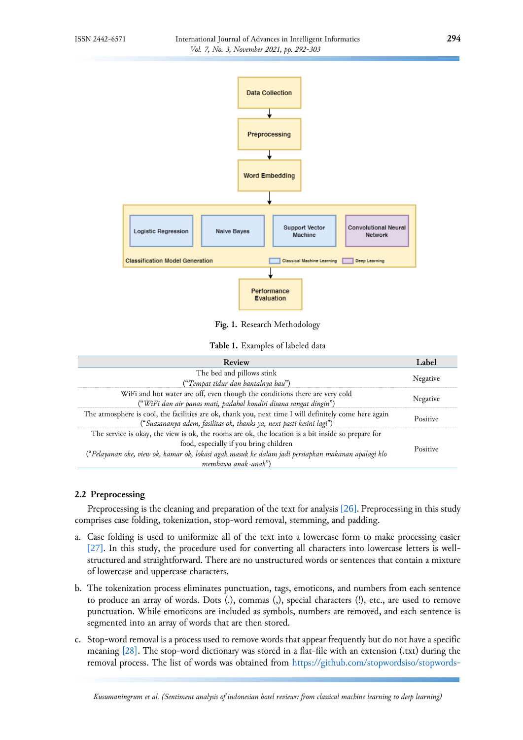<span id="page-2-0"></span>

**Fig. 1.** Research Methodology

**Table 1.** Examples of labeled data

<span id="page-2-1"></span>

| Review                                                                                                | Label    |
|-------------------------------------------------------------------------------------------------------|----------|
| The bed and pillows stink                                                                             | Negative |
| ("Tempat tidur dan bantalnya bau")                                                                    |          |
| WiFi and hot water are off, even though the conditions there are very cold                            |          |
| ("WiFi dan air panas mati, padahal kondisi disana sangat dingin")                                     | Negative |
| The atmosphere is cool, the facilities are ok, thank you, next time I will definitely come here again | Positive |
| ("Suasananya adem, fasilitas ok, thanks ya, next pasti kesini lagi")                                  |          |
| The service is okay, the view is ok, the rooms are ok, the location is a bit inside so prepare for    |          |
| food, especially if you bring children                                                                | Positive |
| ("Pelayanan oke, view ok, kamar ok, lokasi agak masuk ke dalam jadi persiapkan makanan apalagi klo    |          |
| membawa anak-anak")                                                                                   |          |

# **2.2 Preprocessing**

Preprocessing is the cleaning and preparation of the text for analysis [\[26\]](#page-10-14). Preprocessing in this study comprises case folding, tokenization, stop-word removal, stemming, and padding.

- a. Case folding is used to uniformize all of the text into a lowercase form to make processing easier [\[27\]](#page-10-15). In this study, the procedure used for converting all characters into lowercase letters is wellstructured and straightforward. There are no unstructured words or sentences that contain a mixture of lowercase and uppercase characters.
- b. The tokenization process eliminates punctuation, tags, emoticons, and numbers from each sentence to produce an array of words. Dots (.), commas (,), special characters (!), etc., are used to remove punctuation. While emoticons are included as symbols, numbers are removed, and each sentence is segmented into an array of words that are then stored.
- c. Stop-word removal is a process used to remove words that appear frequently but do not have a specific meaning [\[28\].](#page-11-0) The stop-word dictionary was stored in a flat-file with an extension (.txt) during the removal process. The list of words was obtained from [https://github.com/stopwordsiso/stopwords-](https://github.com/stopwordsiso/stopwords-id)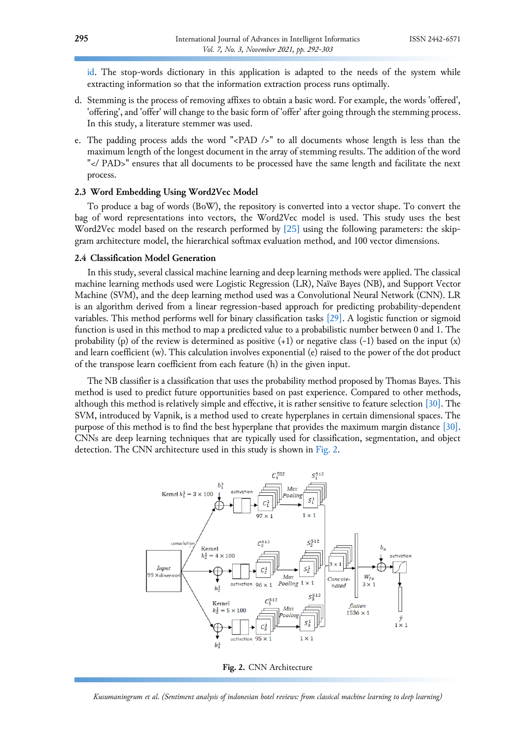[id.](https://github.com/stopwordsiso/stopwords-id) The stop-words dictionary in this application is adapted to the needs of the system while extracting information so that the information extraction process runs optimally.

- d. Stemming is the process of removing affixes to obtain a basic word. For example, the words 'offered', 'offering', and 'offer' will change to the basic form of 'offer' after going through the stemming process. In this study, a literature stemmer was used.
- e. The padding process adds the word "<PAD />" to all documents whose length is less than the maximum length of the longest document in the array of stemming results. The addition of the word "</ PAD>" ensures that all documents to be processed have the same length and facilitate the next process.

#### **2.3 Word Embedding Using Word2Vec Model**

To produce a bag of words (BoW), the repository is converted into a vector shape. To convert the bag of word representations into vectors, the Word2Vec model is used. This study uses the best Word2Vec model based on the research performed by [\[25\]](#page-10-13) using the following parameters: the skipgram architecture model, the hierarchical softmax evaluation method, and 100 vector dimensions.

#### **2.4 Classification Model Generation**

In this study, several classical machine learning and deep learning methods were applied. The classical machine learning methods used were Logistic Regression (LR), Naïve Bayes (NB), and Support Vector Machine (SVM), and the deep learning method used was a Convolutional Neural Network (CNN). LR is an algorithm derived from a linear regression-based approach for predicting probability-dependent variables. This method performs well for binary classification tasks [\[29\].](#page-11-1) A logistic function or sigmoid function is used in this method to map a predicted value to a probabilistic number between 0 and 1. The probability (p) of the review is determined as positive (+1) or negative class (-1) based on the input (x) and learn coefficient (w). This calculation involves exponential (e) raised to the power of the dot product of the transpose learn coefficient from each feature (h) in the given input.

The NB classifier is a classification that uses the probability method proposed by Thomas Bayes. This method is used to predict future opportunities based on past experience. Compared to other methods, although this method is relatively simple and effective, it is rather sensitive to feature selection [\[30\].](#page-11-2) The SVM, introduced by Vapnik, is a method used to create hyperplanes in certain dimensional spaces. The purpose of this method is to find the best hyperplane that provides the maximum margin distance [\[30\].](#page-11-2) CNNs are deep learning techniques that are typically used for classification, segmentation, and object detection. The CNN architecture used in this study is shown in [Fig. 2.](#page-3-0)

<span id="page-3-0"></span>

**Fig. 2.** CNN Architecture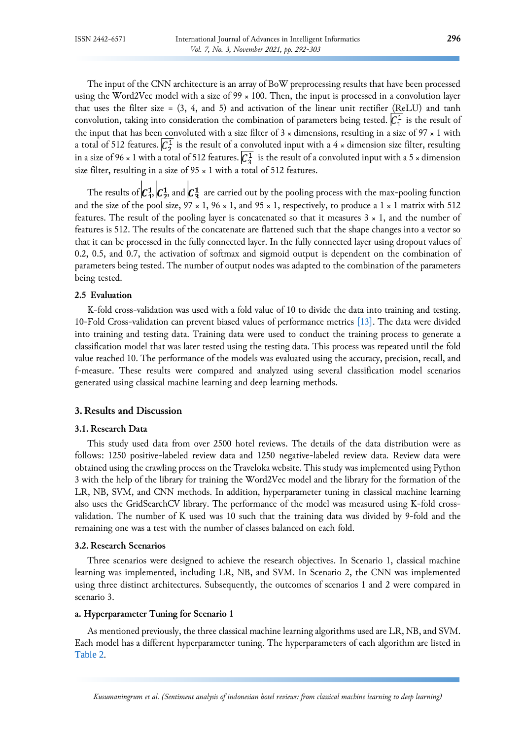The input of the CNN architecture is an array of BoW preprocessing results that have been processed using the Word2Vec model with a size of 99 × 100. Then, the input is processed in a convolution layer that uses the filter size =  $(3, 4, \text{ and } 5)$  and activation of the linear unit rectifier (ReLU) and tanh convolution, taking into consideration the combination of parameters being tested.  $\mathcal{C}_1^1$  is the result of the input that has been convoluted with a size filter of  $3 \times$  dimensions, resulting in a size of  $97 \times 1$  with a total of 512 features.  $\mathcal{C}_2^1$  is the result of a convoluted input with a 4 × dimension size filter, resulting in a size of 96  $\times$  1 with a total of 512 features.  $\overline{C_3^1}$  is the result of a convoluted input with a 5  $\times$  dimension size filter, resulting in a size of  $95 \times 1$  with a total of  $512$  features.

The results of  $c_1^1, c_2^1$ , and  $c_3^1$  are carried out by the pooling process with the max-pooling function and the size of the pool size,  $97 \times 1$ ,  $96 \times 1$ , and  $95 \times 1$ , respectively, to produce a  $1 \times 1$  matrix with 512 features. The result of the pooling layer is concatenated so that it measures  $3 \times 1$ , and the number of features is 512. The results of the concatenate are flattened such that the shape changes into a vector so that it can be processed in the fully connected layer. In the fully connected layer using dropout values of 0.2, 0.5, and 0.7, the activation of softmax and sigmoid output is dependent on the combination of parameters being tested. The number of output nodes was adapted to the combination of the parameters being tested.

# **2.5 Evaluation**

K-fold cross-validation was used with a fold value of 10 to divide the data into training and testing. 10-Fold Cross-validation can prevent biased values of performance metrics [\[13\].](#page-10-1) The data were divided into training and testing data. Training data were used to conduct the training process to generate a classification model that was later tested using the testing data. This process was repeated until the fold value reached 10. The performance of the models was evaluated using the accuracy, precision, recall, and f-measure. These results were compared and analyzed using several classification model scenarios generated using classical machine learning and deep learning methods.

# **3. Results and Discussion**

#### **3.1. Research Data**

This study used data from over 2500 hotel reviews. The details of the data distribution were as follows: 1250 positive-labeled review data and 1250 negative-labeled review data. Review data were obtained using the crawling process on the Traveloka website. This study was implemented using Python 3 with the help of the library for training the Word2Vec model and the library for the formation of the LR, NB, SVM, and CNN methods. In addition, hyperparameter tuning in classical machine learning also uses the GridSearchCV library. The performance of the model was measured using K-fold crossvalidation. The number of K used was 10 such that the training data was divided by 9-fold and the remaining one was a test with the number of classes balanced on each fold.

### **3.2. Research Scenarios**

Three scenarios were designed to achieve the research objectives. In Scenario 1, classical machine learning was implemented, including LR, NB, and SVM. In Scenario 2, the CNN was implemented using three distinct architectures. Subsequently, the outcomes of scenarios 1 and 2 were compared in scenario 3.

#### **a. Hyperparameter Tuning for Scenario 1**

As mentioned previously, the three classical machine learning algorithms used are LR, NB, and SVM. Each model has a different hyperparameter tuning. The hyperparameters of each algorithm are listed in [Table 2](#page-5-0).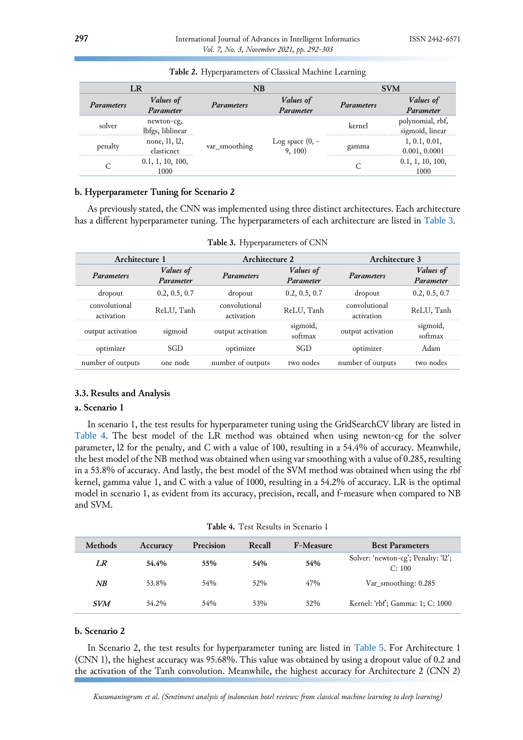<span id="page-5-0"></span>

|                   | LR                             | NB                |                          | <b>SVM</b>        |                                     |  |
|-------------------|--------------------------------|-------------------|--------------------------|-------------------|-------------------------------------|--|
| <i>Parameters</i> | Values of                      |                   | Values of                | <i>Parameters</i> | Values of                           |  |
|                   | Parameter                      | <b>Parameters</b> | Parameter                |                   | Parameter                           |  |
| solver            | newton-cg,<br>lbfgs, liblinear | var smoothing     |                          | kernel            | polynomial, rbf,<br>sigmoid, linear |  |
| penalty           | none, 11, 12,<br>elasticnet    |                   | Log space $(0, -9, 100)$ | gamma             | 1, 0.1, 0.01,<br>0.001, 0.0001      |  |
|                   | 0.1, 1, 10, 100,<br>1000       |                   |                          |                   | 0.1, 1, 10, 100,<br>1000            |  |

| Table 2. Hyperparameters of Classical Machine Learning |  |  |  |  |
|--------------------------------------------------------|--|--|--|--|
|--------------------------------------------------------|--|--|--|--|

# **b. Hyperparameter Tuning for Scenario 2**

As previously stated, the CNN was implemented using three distinct architectures. Each architecture has a different hyperparameter tuning. The hyperparameters of each architecture are listed in [Table 3](#page-5-1).

<span id="page-5-1"></span>

|                             | Architecture 1                |                             | Architecture 2                |                             | Architecture 3                |
|-----------------------------|-------------------------------|-----------------------------|-------------------------------|-----------------------------|-------------------------------|
| Parameters                  | <i>Values of</i><br>Parameter | Parameters                  | <i>Values of</i><br>Parameter | <i>Parameters</i>           | <i>Values of</i><br>Parameter |
| dropout                     | 0.2, 0.5, 0.7                 | dropout                     | 0.2, 0.5, 0.7                 | dropout                     | 0.2, 0.5, 0.7                 |
| convolutional<br>activation | ReLU, Tanh                    | convolutional<br>activation | ReLU, Tanh                    | convolutional<br>activation | ReLU, Tanh                    |
| output activation           | sigmoid                       | output activation           | sigmoid,<br>softmax           | output activation           | sigmoid,<br>softmax           |
| optimizer                   | SGD                           | optimizer                   | SGD                           | optimizer                   | Adam                          |
| number of outputs           | one node                      | number of outputs           | two nodes                     | number of outputs           | two nodes                     |

**Table 3.** Hyperparameters of CNN

#### **3.3. Results and Analysis**

# **a. Scenario 1**

In scenario 1, the test results for hyperparameter tuning using the GridSearchCV library are listed in [Table 4](#page-5-2). The best model of the LR method was obtained when using newton-cg for the solver parameter, l2 for the penalty, and C with a value of 100, resulting in a 54.4% of accuracy. Meanwhile, the best model of the NB method was obtained when using var smoothing with a value of 0.285, resulting in a 53.8% of accuracy. And lastly, the best model of the SVM method was obtained when using the rbf kernel, gamma value 1, and C with a value of 1000, resulting in a 54.2% of accuracy. LR is the optimal model in scenario 1, as evident from its accuracy, precision, recall, and f-measure when compared to NB and SVM.

|  |  |  |  | Table 4. Test Results in Scenario 1 |  |
|--|--|--|--|-------------------------------------|--|
|--|--|--|--|-------------------------------------|--|

<span id="page-5-2"></span>

| <b>Methods</b> | Accuracy | Precision | Recall | <b>F-Measure</b> | <b>Best Parameters</b>                        |
|----------------|----------|-----------|--------|------------------|-----------------------------------------------|
| LR             | 54.4%    | 55%       | 54%    | 54%              | Solver: 'newton-cg'; Penalty: '12';<br>C: 100 |
| NB             | 53.8%    | 54%       | 52%    | 47%              | Var_smoothing: 0.285                          |
| <b>SVM</b>     | 54.2%    | 54%       | 53%    | 52%              | Kernel: 'rbf'; Gamma: 1; C: 1000              |

# **b. Scenario 2**

In Scenario 2, the test results for hyperparameter tuning are listed in [Table 5](#page-6-0). For Architecture 1 (CNN 1), the highest accuracy was 95.68%. This value was obtained by using a dropout value of 0.2 and the activation of the Tanh convolution. Meanwhile, the highest accuracy for Architecture 2 (CNN 2)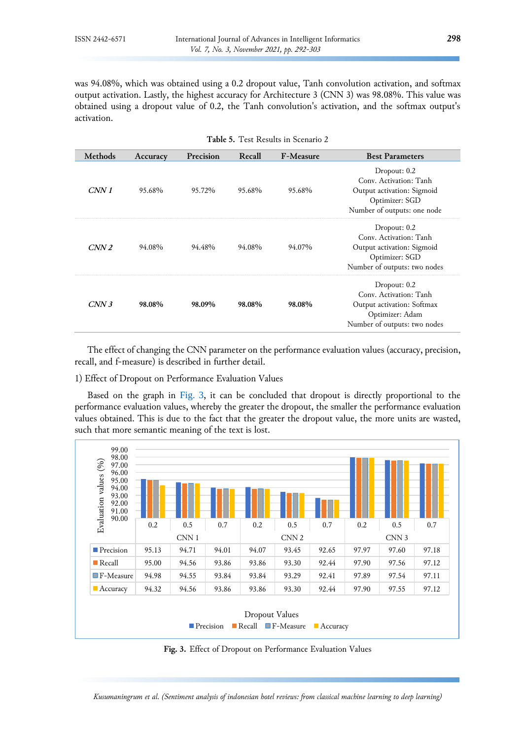was 94.08%, which was obtained using a 0.2 dropout value, Tanh convolution activation, and softmax output activation. Lastly, the highest accuracy for Architecture 3 (CNN 3) was 98.08%. This value was obtained using a dropout value of 0.2, the Tanh convolution's activation, and the softmax output's activation.

<span id="page-6-0"></span>

| <b>Methods</b>   | Accuracy | Precision | Recall | <b>F-Measure</b> | <b>Best Parameters</b>                                                                                                  |
|------------------|----------|-----------|--------|------------------|-------------------------------------------------------------------------------------------------------------------------|
| CNN1             | 95.68%   | 95.72%    | 95.68% | 95.68%           | Dropout: $0.2$<br>Conv. Activation: Tanh<br>Output activation: Sigmoid<br>Optimizer: SGD<br>Number of outputs: one node |
| CNN <sub>2</sub> | 94.08%   | 94.48%    | 94.08% | 94.07%           | Dropout: 0.2<br>Conv. Activation: Tanh<br>Output activation: Sigmoid<br>Optimizer: SGD<br>Number of outputs: two nodes  |
| CNN3             | 98.08%   | 98.09%    | 98.08% | 98.08%           | Dropout: 0.2<br>Conv. Activation: Tanh<br>Output activation: Softmax<br>Optimizer: Adam<br>Number of outputs: two nodes |

**Table 5.** Test Results in Scenario 2

The effect of changing the CNN parameter on the performance evaluation values (accuracy, precision, recall, and f-measure) is described in further detail.

1) Effect of Dropout on Performance Evaluation Values

Based on the graph in [Fig.](#page-6-1) 3, it can be concluded that dropout is directly proportional to the performance evaluation values, whereby the greater the dropout, the smaller the performance evaluation values obtained. This is due to the fact that the greater the dropout value, the more units are wasted, such that more semantic meaning of the text is lost.

<span id="page-6-1"></span>

**Fig. 3.** Effect of Dropout on Performance Evaluation Values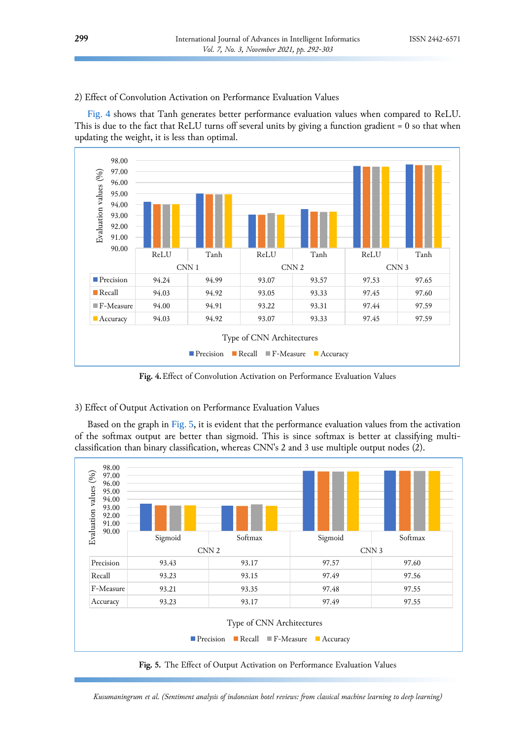2) Effect of Convolution Activation on Performance Evaluation Values

[Fig. 4](#page-7-0) shows that Tanh generates better performance evaluation values when compared to ReLU. This is due to the fact that ReLU turns off several units by giving a function gradient = 0 so that when updating the weight, it is less than optimal.

<span id="page-7-0"></span>

**Fig. 4.**Effect of Convolution Activation on Performance Evaluation Values

# 3) Effect of Output Activation on Performance Evaluation Values

Based on the graph in [Fig.](#page-7-1) 5, it is evident that the performance evaluation values from the activation of the softmax output are better than sigmoid. This is since softmax is better at classifying multiclassification than binary classification, whereas CNN's 2 and 3 use multiple output nodes (2).

<span id="page-7-1"></span>

**Fig. 5.** The Effect of Output Activation on Performance Evaluation Values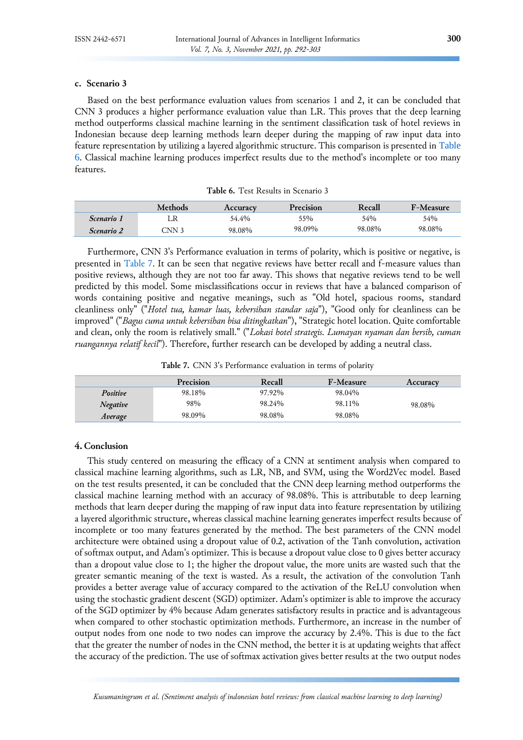# **c. Scenario 3**

Based on the best performance evaluation values from scenarios 1 and 2, it can be concluded that CNN 3 produces a higher performance evaluation value than LR. This proves that the deep learning method outperforms classical machine learning in the sentiment classification task of hotel reviews in Indonesian because deep learning methods learn deeper during the mapping of raw input data into feature representation by utilizing a layered algorithmic structure. This comparison is presented in [Table](#page-8-0)  [6](#page-8-0). Classical machine learning produces imperfect results due to the method's incomplete or too many features.

| Table 6. Test Results in Scenario 3 |  |  |  |  |  |
|-------------------------------------|--|--|--|--|--|
|-------------------------------------|--|--|--|--|--|

<span id="page-8-0"></span>

|                   | <b>Methods</b> | Accuracy | <b>Precision</b> | Recall | <b>F-Measure</b> |
|-------------------|----------------|----------|------------------|--------|------------------|
| <i>Scenario 1</i> |                | 54.4%    | 55%              | 54%    | 54%              |
| <i>Scenario 2</i> | CNN 3          | 98.08%   | 98.09%           | 98.08% | 98.08%           |

Furthermore, CNN 3's Performance evaluation in terms of polarity, which is positive or negative, is presented in [Table 7.](#page-8-1) It can be seen that negative reviews have better recall and f-measure values than positive reviews, although they are not too far away. This shows that negative reviews tend to be well predicted by this model. Some misclassifications occur in reviews that have a balanced comparison of words containing positive and negative meanings, such as "Old hotel, spacious rooms, standard cleanliness only" ("*Hotel tua, kamar luas, kebersihan standar saja*"), "Good only for cleanliness can be improved" ("*Bagus cuma untuk kebersihan bisa ditingkatkan*"), "Strategic hotel location. Quite comfortable and clean, only the room is relatively small." ("*Lokasi hotel strategis. Lumayan nyaman dan bersih, cuman ruangannya relatif kecil*"). Therefore, further research can be developed by adding a neutral class.

**Table 7.** CNN 3's Performance evaluation in terms of polarity

<span id="page-8-1"></span>

|          | Precision | Recall | <b>F-Measure</b> | Accuracy |
|----------|-----------|--------|------------------|----------|
| Positive | 98.18%    | 97.92% | 98.04%           |          |
| Negative | 98%       | 98.24% | 98.11%           | 98.08%   |
| Average  | 98.09%    | 98.08% | 98.08%           |          |

# **4. Conclusion**

This study centered on measuring the efficacy of a CNN at sentiment analysis when compared to classical machine learning algorithms, such as LR, NB, and SVM, using the Word2Vec model. Based on the test results presented, it can be concluded that the CNN deep learning method outperforms the classical machine learning method with an accuracy of 98.08%. This is attributable to deep learning methods that learn deeper during the mapping of raw input data into feature representation by utilizing a layered algorithmic structure, whereas classical machine learning generates imperfect results because of incomplete or too many features generated by the method. The best parameters of the CNN model architecture were obtained using a dropout value of 0.2, activation of the Tanh convolution, activation of softmax output, and Adam's optimizer. This is because a dropout value close to 0 gives better accuracy than a dropout value close to 1; the higher the dropout value, the more units are wasted such that the greater semantic meaning of the text is wasted. As a result, the activation of the convolution Tanh provides a better average value of accuracy compared to the activation of the ReLU convolution when using the stochastic gradient descent (SGD) optimizer. Adam's optimizer is able to improve the accuracy of the SGD optimizer by 4% because Adam generates satisfactory results in practice and is advantageous when compared to other stochastic optimization methods. Furthermore, an increase in the number of output nodes from one node to two nodes can improve the accuracy by 2.4%. This is due to the fact that the greater the number of nodes in the CNN method, the better it is at updating weights that affect the accuracy of the prediction. The use of softmax activation gives better results at the two output nodes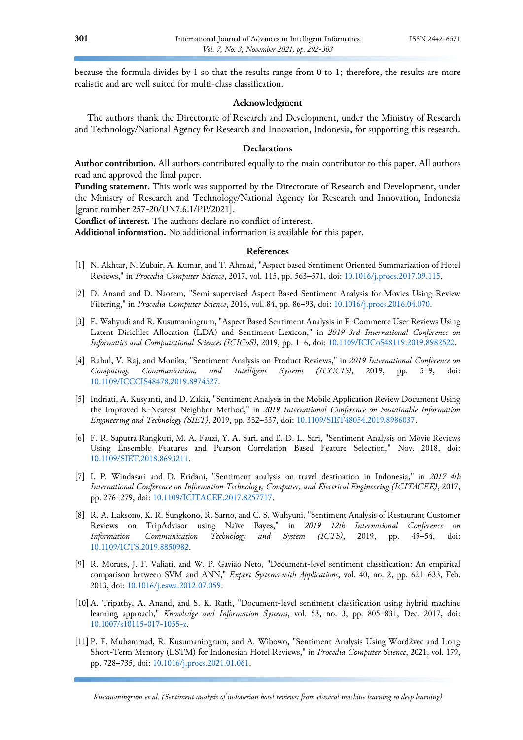because the formula divides by 1 so that the results range from 0 to 1; therefore, the results are more realistic and are well suited for multi-class classification.

# **Acknowledgment**

The authors thank the Directorate of Research and Development, under the Ministry of Research and Technology/National Agency for Research and Innovation, Indonesia, for supporting this research.

# **Declarations**

**Author contribution.** All authors contributed equally to the main contributor to this paper. All authors read and approved the final paper.

**Funding statement.** This work was supported by the Directorate of Research and Development, under the Ministry of Research and Technology/National Agency for Research and Innovation, Indonesia [grant number 257-20/UN7.6.1/PP/2021].

**Conflict of interest.** The authors declare no conflict of interest.

**Additional information.** No additional information is available for this paper.

### **References**

- <span id="page-9-0"></span>[1] N. Akhtar, N. Zubair, A. Kumar, and T. Ahmad, "Aspect based Sentiment Oriented Summarization of Hotel Reviews," in *Procedia Computer Science*, 2017, vol. 115, pp. 563–571, doi: [10.1016/j.procs.2017.09.115.](https://doi.org/10.1016/j.procs.2017.09.115)
- <span id="page-9-1"></span>[2] D. Anand and D. Naorem, "Semi-supervised Aspect Based Sentiment Analysis for Movies Using Review Filtering," in *Procedia Computer Science*, 2016, vol. 84, pp. 86–93, doi: [10.1016/j.procs.2016.04.070.](https://doi.org/10.1016/j.procs.2016.04.070)
- <span id="page-9-2"></span>[3] E. Wahyudi and R. Kusumaningrum, "Aspect Based Sentiment Analysis in E-Commerce User Reviews Using Latent Dirichlet Allocation (LDA) and Sentiment Lexicon," in *2019 3rd International Conference on Informatics and Computational Sciences (ICICoS)*, 2019, pp. 1–6, doi: [10.1109/ICICoS48119.2019.8982522.](https://doi.org/10.1109/ICICoS48119.2019.8982522)
- <span id="page-9-3"></span>[4] Rahul, V. Raj, and Monika, "Sentiment Analysis on Product Reviews," in *2019 International Conference on Computing, Communication, and Intelligent Systems (ICCCIS)*, 2019, pp. 5–9, doi: [10.1109/ICCCIS48478.2019.8974527.](https://doi.org/10.1109/ICCCIS48478.2019.8974527)
- <span id="page-9-4"></span>[5] Indriati, A. Kusyanti, and D. Zakia, "Sentiment Analysis in the Mobile Application Review Document Using the Improved K-Nearest Neighbor Method," in *2019 International Conference on Sustainable Information Engineering and Technology (SIET)*, 2019, pp. 332–337, doi[: 10.1109/SIET48054.2019.8986037.](https://doi.org/10.1109/SIET48054.2019.8986037)
- <span id="page-9-5"></span>[6] F. R. Saputra Rangkuti, M. A. Fauzi, Y. A. Sari, and E. D. L. Sari, "Sentiment Analysis on Movie Reviews Using Ensemble Features and Pearson Correlation Based Feature Selection," Nov. 2018, doi: [10.1109/SIET.2018.8693211.](https://doi.org/10.1109/SIET.2018.8693211)
- <span id="page-9-6"></span>[7] I. P. Windasari and D. Eridani, "Sentiment analysis on travel destination in Indonesia," in *2017 4th International Conference on Information Technology, Computer, and Electrical Engineering (ICITACEE)*, 2017, pp. 276–279, doi: [10.1109/ICITACEE.2017.8257717.](https://doi.org/10.1109/ICITACEE.2017.8257717)
- <span id="page-9-7"></span>[8] R. A. Laksono, K. R. Sungkono, R. Sarno, and C. S. Wahyuni, "Sentiment Analysis of Restaurant Customer Reviews on TripAdvisor using Naïve Bayes," in *2019 12th International Conference on Information Communication Technology and System (ICTS)*, 2019, pp. 49–54, doi: [10.1109/ICTS.2019.8850982.](https://doi.org/10.1109/ICTS.2019.8850982)
- <span id="page-9-8"></span>[9] R. Moraes, J. F. Valiati, and W. P. Gavião Neto, "Document-level sentiment classification: An empirical comparison between SVM and ANN," *Expert Systems with Applications*, vol. 40, no. 2, pp. 621–633, Feb. 2013, doi: [10.1016/j.eswa.2012.07.059.](https://doi.org/10.1016/j.eswa.2012.07.059)
- <span id="page-9-9"></span>[10]A. Tripathy, A. Anand, and S. K. Rath, "Document-level sentiment classification using hybrid machine learning approach," *Knowledge and Information Systems*, vol. 53, no. 3, pp. 805–831, Dec. 2017, doi: [10.1007/s10115-017-1055-z.](https://doi.org/10.1007/s10115-017-1055-z)
- <span id="page-9-10"></span>[11] P. F. Muhammad, R. Kusumaningrum, and A. Wibowo, "Sentiment Analysis Using Word2vec and Long Short-Term Memory (LSTM) for Indonesian Hotel Reviews," in *Procedia Computer Science*, 2021, vol. 179, pp. 728–735, doi: [10.1016/j.procs.2021.01.061.](https://doi.org/10.1016/j.procs.2021.01.061)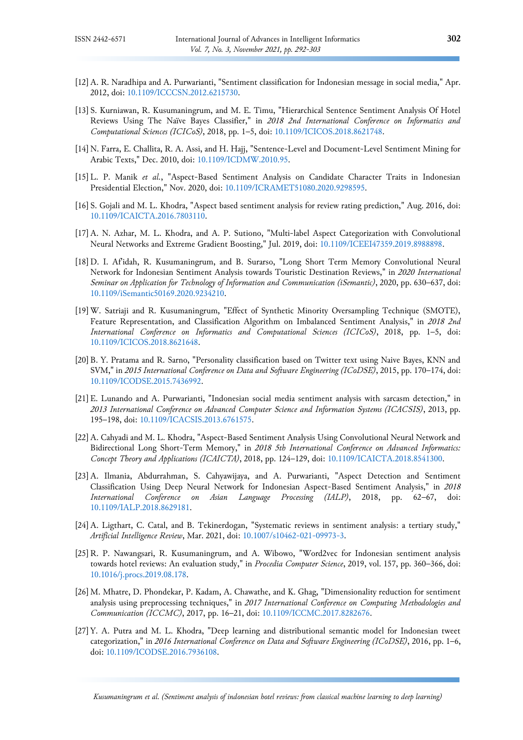- <span id="page-10-0"></span>[12]A. R. Naradhipa and A. Purwarianti, "Sentiment classification for Indonesian message in social media," Apr. 2012, doi: [10.1109/ICCCSN.2012.6215730.](https://doi.org/10.1109/ICCCSN.2012.6215730)
- <span id="page-10-1"></span>[13] S. Kurniawan, R. Kusumaningrum, and M. E. Timu, "Hierarchical Sentence Sentiment Analysis Of Hotel Reviews Using The Naïve Bayes Classifier," in *2018 2nd International Conference on Informatics and Computational Sciences (ICICoS)*, 2018, pp. 1–5, doi[: 10.1109/ICICOS.2018.8621748.](https://doi.org/10.1109/ICICOS.2018.8621748)
- <span id="page-10-2"></span>[14] N. Farra, E. Challita, R. A. Assi, and H. Hajj, "Sentence-Level and Document-Level Sentiment Mining for Arabic Texts," Dec. 2010, doi: [10.1109/ICDMW.2010.95.](https://doi.org/10.1109/ICDMW.2010.95)
- <span id="page-10-3"></span>[15]L. P. Manik *et al.*, "Aspect-Based Sentiment Analysis on Candidate Character Traits in Indonesian Presidential Election," Nov. 2020, doi: [10.1109/ICRAMET51080.2020.9298595.](https://doi.org/10.1109/ICRAMET51080.2020.9298595)
- <span id="page-10-4"></span>[16] S. Gojali and M. L. Khodra, "Aspect based sentiment analysis for review rating prediction," Aug. 2016, doi: [10.1109/ICAICTA.2016.7803110.](https://doi.org/10.1109/ICAICTA.2016.7803110)
- <span id="page-10-5"></span>[17]A. N. Azhar, M. L. Khodra, and A. P. Sutiono, "Multi-label Aspect Categorization with Convolutional Neural Networks and Extreme Gradient Boosting," Jul. 2019, doi: [10.1109/ICEEI47359.2019.8988898.](https://doi.org/10.1109/ICEEI47359.2019.8988898)
- <span id="page-10-6"></span>[18]D. I. Af'idah, R. Kusumaningrum, and B. Surarso, "Long Short Term Memory Convolutional Neural Network for Indonesian Sentiment Analysis towards Touristic Destination Reviews," in *2020 International Seminar on Application for Technology of Information and Communication (iSemantic)*, 2020, pp. 630–637, doi: [10.1109/iSemantic50169.2020.9234210.](https://doi.org/10.1109/iSemantic50169.2020.9234210)
- <span id="page-10-7"></span>[19]W. Satriaji and R. Kusumaningrum, "Effect of Synthetic Minority Oversampling Technique (SMOTE), Feature Representation, and Classification Algorithm on Imbalanced Sentiment Analysis," in *2018 2nd International Conference on Informatics and Computational Sciences (ICICoS)*, 2018, pp. 1–5, doi: [10.1109/ICICOS.2018.8621648.](https://doi.org/10.1109/ICICOS.2018.8621648)
- <span id="page-10-8"></span>[20] B. Y. Pratama and R. Sarno, "Personality classification based on Twitter text using Naive Bayes, KNN and SVM," in *2015 International Conference on Data and Software Engineering (ICoDSE)*, 2015, pp. 170–174, doi: [10.1109/ICODSE.2015.7436992.](https://doi.org/10.1109/ICODSE.2015.7436992)
- <span id="page-10-9"></span>[21]E. Lunando and A. Purwarianti, "Indonesian social media sentiment analysis with sarcasm detection," in *2013 International Conference on Advanced Computer Science and Information Systems (ICACSIS)*, 2013, pp. 195–198, doi: [10.1109/ICACSIS.2013.6761575.](https://doi.org/10.1109/ICACSIS.2013.6761575)
- <span id="page-10-10"></span>[22]A. Cahyadi and M. L. Khodra, "Aspect-Based Sentiment Analysis Using Convolutional Neural Network and Bidirectional Long Short-Term Memory," in *2018 5th International Conference on Advanced Informatics: Concept Theory and Applications (ICAICTA)*, 2018, pp. 124–129, doi: [10.1109/ICAICTA.2018.8541300.](https://doi.org/10.1109/ICAICTA.2018.8541300)
- <span id="page-10-11"></span>[23]A. Ilmania, Abdurrahman, S. Cahyawijaya, and A. Purwarianti, "Aspect Detection and Sentiment Classification Using Deep Neural Network for Indonesian Aspect-Based Sentiment Analysis," in *2018 International Conference on Asian Language Processing (IALP)*, 2018, pp. 62–67, doi: [10.1109/IALP.2018.8629181.](https://doi.org/10.1109/IALP.2018.8629181)
- <span id="page-10-12"></span>[24]A. Ligthart, C. Catal, and B. Tekinerdogan, "Systematic reviews in sentiment analysis: a tertiary study," *Artificial Intelligence Review*, Mar. 2021, doi: [10.1007/s10462-021-09973-3.](https://doi.org/10.1007/s10462-021-09973-3)
- <span id="page-10-13"></span>[25]R. P. Nawangsari, R. Kusumaningrum, and A. Wibowo, "Word2vec for Indonesian sentiment analysis towards hotel reviews: An evaluation study," in *Procedia Computer Science*, 2019, vol. 157, pp. 360–366, doi: [10.1016/j.procs.2019.08.178.](https://doi.org/10.1016/j.procs.2019.08.178)
- <span id="page-10-14"></span>[26] M. Mhatre, D. Phondekar, P. Kadam, A. Chawathe, and K. Ghag, "Dimensionality reduction for sentiment analysis using preprocessing techniques," in *2017 International Conference on Computing Methodologies and Communication (ICCMC)*, 2017, pp. 16–21, doi: [10.1109/ICCMC.2017.8282676.](https://doi.org/10.1109/ICCMC.2017.8282676)
- <span id="page-10-15"></span>[27]Y. A. Putra and M. L. Khodra, "Deep learning and distributional semantic model for Indonesian tweet categorization," in *2016 International Conference on Data and Software Engineering (ICoDSE)*, 2016, pp. 1–6, doi: [10.1109/ICODSE.2016.7936108.](https://doi.org/10.1109/ICODSE.2016.7936108)